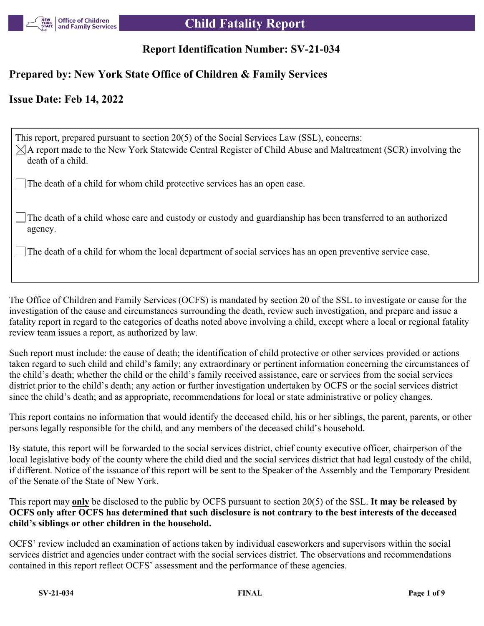

# **Report Identification Number: SV-21-034**

# **Prepared by: New York State Office of Children & Family Services**

# **Issue Date: Feb 14, 2022**

This report, prepared pursuant to section 20(5) of the Social Services Law (SSL), concerns:  $\boxtimes$ A report made to the New York Statewide Central Register of Child Abuse and Maltreatment (SCR) involving the death of a child.

The death of a child for whom child protective services has an open case.

The death of a child whose care and custody or custody and guardianship has been transferred to an authorized agency.

The death of a child for whom the local department of social services has an open preventive service case.

The Office of Children and Family Services (OCFS) is mandated by section 20 of the SSL to investigate or cause for the investigation of the cause and circumstances surrounding the death, review such investigation, and prepare and issue a fatality report in regard to the categories of deaths noted above involving a child, except where a local or regional fatality review team issues a report, as authorized by law.

Such report must include: the cause of death; the identification of child protective or other services provided or actions taken regard to such child and child's family; any extraordinary or pertinent information concerning the circumstances of the child's death; whether the child or the child's family received assistance, care or services from the social services district prior to the child's death; any action or further investigation undertaken by OCFS or the social services district since the child's death; and as appropriate, recommendations for local or state administrative or policy changes.

This report contains no information that would identify the deceased child, his or her siblings, the parent, parents, or other persons legally responsible for the child, and any members of the deceased child's household.

By statute, this report will be forwarded to the social services district, chief county executive officer, chairperson of the local legislative body of the county where the child died and the social services district that had legal custody of the child, if different. Notice of the issuance of this report will be sent to the Speaker of the Assembly and the Temporary President of the Senate of the State of New York.

This report may **only** be disclosed to the public by OCFS pursuant to section 20(5) of the SSL. **It may be released by OCFS only after OCFS has determined that such disclosure is not contrary to the best interests of the deceased child's siblings or other children in the household.**

OCFS' review included an examination of actions taken by individual caseworkers and supervisors within the social services district and agencies under contract with the social services district. The observations and recommendations contained in this report reflect OCFS' assessment and the performance of these agencies.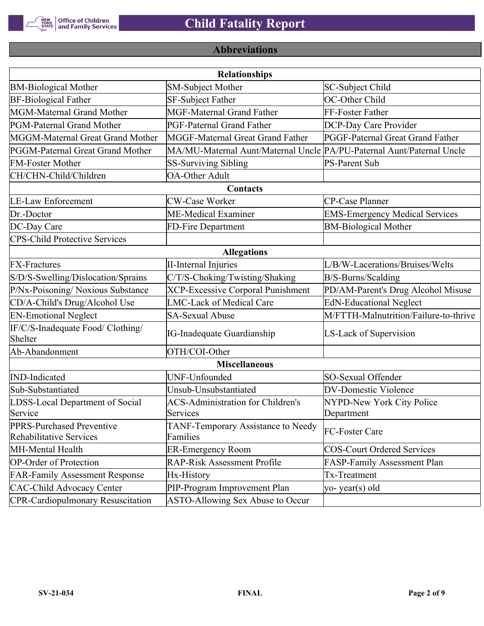

# **Abbreviations**

| <b>Relationships</b>                                 |                                                                       |                                       |  |  |  |  |
|------------------------------------------------------|-----------------------------------------------------------------------|---------------------------------------|--|--|--|--|
| <b>BM-Biological Mother</b>                          | <b>SM-Subject Mother</b>                                              | SC-Subject Child                      |  |  |  |  |
| <b>BF-Biological Father</b>                          | SF-Subject Father                                                     | OC-Other Child                        |  |  |  |  |
| MGM-Maternal Grand Mother                            | <b>MGF-Maternal Grand Father</b>                                      | FF-Foster Father                      |  |  |  |  |
| PGM-Paternal Grand Mother                            | <b>PGF-Paternal Grand Father</b>                                      | DCP-Day Care Provider                 |  |  |  |  |
| MGGM-Maternal Great Grand Mother                     | MGGF-Maternal Great Grand Father                                      | PGGF-Paternal Great Grand Father      |  |  |  |  |
| PGGM-Paternal Great Grand Mother                     | MA/MU-Maternal Aunt/Maternal Uncle PA/PU-Paternal Aunt/Paternal Uncle |                                       |  |  |  |  |
| <b>FM-Foster Mother</b>                              | <b>SS-Surviving Sibling</b>                                           | <b>PS-Parent Sub</b>                  |  |  |  |  |
| CH/CHN-Child/Children                                | <b>OA-Other Adult</b>                                                 |                                       |  |  |  |  |
|                                                      | Contacts                                                              |                                       |  |  |  |  |
| <b>LE-Law Enforcement</b>                            | <b>CW-Case Worker</b>                                                 | CP-Case Planner                       |  |  |  |  |
| Dr.-Doctor                                           | ME-Medical Examiner                                                   | <b>EMS-Emergency Medical Services</b> |  |  |  |  |
| DC-Day Care                                          | FD-Fire Department                                                    | <b>BM-Biological Mother</b>           |  |  |  |  |
| <b>CPS-Child Protective Services</b>                 |                                                                       |                                       |  |  |  |  |
|                                                      | <b>Allegations</b>                                                    |                                       |  |  |  |  |
| <b>FX-Fractures</b>                                  | <b>II-Internal Injuries</b>                                           | L/B/W-Lacerations/Bruises/Welts       |  |  |  |  |
| S/D/S-Swelling/Dislocation/Sprains                   | C/T/S-Choking/Twisting/Shaking                                        | B/S-Burns/Scalding                    |  |  |  |  |
| P/Nx-Poisoning/ Noxious Substance                    | <b>XCP-Excessive Corporal Punishment</b>                              | PD/AM-Parent's Drug Alcohol Misuse    |  |  |  |  |
| CD/A-Child's Drug/Alcohol Use                        | <b>LMC-Lack of Medical Care</b>                                       | <b>EdN-Educational Neglect</b>        |  |  |  |  |
| <b>EN-Emotional Neglect</b>                          | <b>SA-Sexual Abuse</b>                                                | M/FTTH-Malnutrition/Failure-to-thrive |  |  |  |  |
| IF/C/S-Inadequate Food/ Clothing/<br>Shelter         | <b>IG-Inadequate Guardianship</b>                                     | LS-Lack of Supervision                |  |  |  |  |
| Ab-Abandonment                                       | OTH/COI-Other                                                         |                                       |  |  |  |  |
|                                                      | <b>Miscellaneous</b>                                                  |                                       |  |  |  |  |
| <b>IND-Indicated</b>                                 | UNF-Unfounded                                                         | SO-Sexual Offender                    |  |  |  |  |
| Sub-Substantiated                                    | Unsub-Unsubstantiated                                                 | <b>DV-Domestic Violence</b>           |  |  |  |  |
| LDSS-Local Department of Social                      | <b>ACS-Administration for Children's</b>                              | NYPD-New York City Police             |  |  |  |  |
| Service                                              | Services                                                              | Department                            |  |  |  |  |
| PPRS-Purchased Preventive<br>Rehabilitative Services | TANF-Temporary Assistance to Needy<br>Families                        | FC-Foster Care                        |  |  |  |  |
| MH-Mental Health                                     | <b>ER-Emergency Room</b>                                              | <b>COS-Court Ordered Services</b>     |  |  |  |  |
| <b>OP-Order of Protection</b>                        | <b>RAP-Risk Assessment Profile</b>                                    | FASP-Family Assessment Plan           |  |  |  |  |
| <b>FAR-Family Assessment Response</b>                | Hx-History                                                            | Tx-Treatment                          |  |  |  |  |
| <b>CAC-Child Advocacy Center</b>                     | PIP-Program Improvement Plan                                          | yo-year(s) old                        |  |  |  |  |
| <b>CPR-Cardiopulmonary Resuscitation</b>             | ASTO-Allowing Sex Abuse to Occur                                      |                                       |  |  |  |  |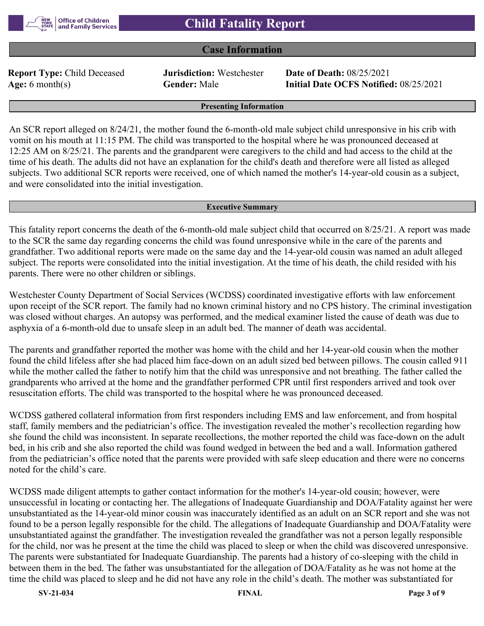

## **Case Information**

**Report Type:** Child Deceased **Jurisdiction:** Westchester **Date of Death:** 08/25/2021

**Age:** 6 month(s) **Gender:** Male **Initial Date OCFS Notified:** 08/25/2021

#### **Presenting Information**

An SCR report alleged on 8/24/21, the mother found the 6-month-old male subject child unresponsive in his crib with vomit on his mouth at 11:15 PM. The child was transported to the hospital where he was pronounced deceased at 12:25 AM on 8/25/21. The parents and the grandparent were caregivers to the child and had access to the child at the time of his death. The adults did not have an explanation for the child's death and therefore were all listed as alleged subjects. Two additional SCR reports were received, one of which named the mother's 14-year-old cousin as a subject, and were consolidated into the initial investigation.

#### **Executive Summary**

This fatality report concerns the death of the 6-month-old male subject child that occurred on 8/25/21. A report was made to the SCR the same day regarding concerns the child was found unresponsive while in the care of the parents and grandfather. Two additional reports were made on the same day and the 14-year-old cousin was named an adult alleged subject. The reports were consolidated into the initial investigation. At the time of his death, the child resided with his parents. There were no other children or siblings.

Westchester County Department of Social Services (WCDSS) coordinated investigative efforts with law enforcement upon receipt of the SCR report. The family had no known criminal history and no CPS history. The criminal investigation was closed without charges. An autopsy was performed, and the medical examiner listed the cause of death was due to asphyxia of a 6-month-old due to unsafe sleep in an adult bed. The manner of death was accidental.

The parents and grandfather reported the mother was home with the child and her 14-year-old cousin when the mother found the child lifeless after she had placed him face-down on an adult sized bed between pillows. The cousin called 911 while the mother called the father to notify him that the child was unresponsive and not breathing. The father called the grandparents who arrived at the home and the grandfather performed CPR until first responders arrived and took over resuscitation efforts. The child was transported to the hospital where he was pronounced deceased.

WCDSS gathered collateral information from first responders including EMS and law enforcement, and from hospital staff, family members and the pediatrician's office. The investigation revealed the mother's recollection regarding how she found the child was inconsistent. In separate recollections, the mother reported the child was face-down on the adult bed, in his crib and she also reported the child was found wedged in between the bed and a wall. Information gathered from the pediatrician's office noted that the parents were provided with safe sleep education and there were no concerns noted for the child's care.

WCDSS made diligent attempts to gather contact information for the mother's 14-year-old cousin; however, were unsuccessful in locating or contacting her. The allegations of Inadequate Guardianship and DOA/Fatality against her were unsubstantiated as the 14-year-old minor cousin was inaccurately identified as an adult on an SCR report and she was not found to be a person legally responsible for the child. The allegations of Inadequate Guardianship and DOA/Fatality were unsubstantiated against the grandfather. The investigation revealed the grandfather was not a person legally responsible for the child, nor was he present at the time the child was placed to sleep or when the child was discovered unresponsive. The parents were substantiated for Inadequate Guardianship. The parents had a history of co-sleeping with the child in between them in the bed. The father was unsubstantiated for the allegation of DOA/Fatality as he was not home at the time the child was placed to sleep and he did not have any role in the child's death. The mother was substantiated for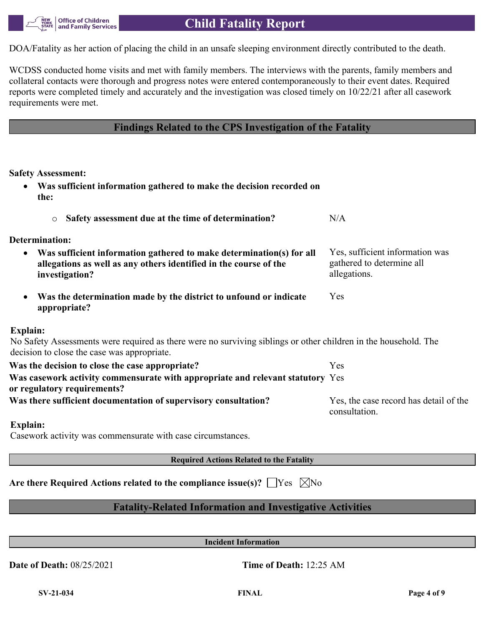DOA/Fatality as her action of placing the child in an unsafe sleeping environment directly contributed to the death.

WCDSS conducted home visits and met with family members. The interviews with the parents, family members and collateral contacts were thorough and progress notes were entered contemporaneously to their event dates. Required reports were completed timely and accurately and the investigation was closed timely on 10/22/21 after all casework requirements were met.

## **Findings Related to the CPS Investigation of the Fatality**

**Safety Assessment:**

| Was sufficient information gathered to make the decision recorded on<br>$\bullet$<br>the:                                                                        |                                                                              |
|------------------------------------------------------------------------------------------------------------------------------------------------------------------|------------------------------------------------------------------------------|
| Safety assessment due at the time of determination?<br>$\circ$                                                                                                   | N/A                                                                          |
| <b>Determination:</b>                                                                                                                                            |                                                                              |
| Was sufficient information gathered to make determination(s) for all<br>٠<br>allegations as well as any others identified in the course of the<br>investigation? | Yes, sufficient information was<br>gathered to determine all<br>allegations. |
| Was the determination made by the district to unfound or indicate<br>$\bullet$<br>appropriate?                                                                   | Yes                                                                          |
| <b>Explain:</b>                                                                                                                                                  |                                                                              |
| No Safety Assessments were required as there were no surviving siblings or other children in the household. The<br>decision to close the case was appropriate.   |                                                                              |
| Was the decision to close the case appropriate?                                                                                                                  | Yes                                                                          |
| Was casework activity commensurate with appropriate and relevant statutory Yes<br>or regulatory requirements?                                                    |                                                                              |
| Was there sufficient documentation of supervisory consultation?                                                                                                  | Yes, the case record has detail of the<br>consultation.                      |
| <b>Explain:</b>                                                                                                                                                  |                                                                              |
| Cogariante octrata vioc commongurato with cogo givenmaternoon                                                                                                    |                                                                              |

Casework activity was commensurate with case circumstances.

**Required Actions Related to the Fatality**

Are there Required Actions related to the compliance issue(s)?  $\Box$  Yes  $\Box$  No

# **Fatality-Related Information and Investigative Activities**

**Incident Information**

**Date of Death:** 08/25/2021 **Time of Death:** 12:25 AM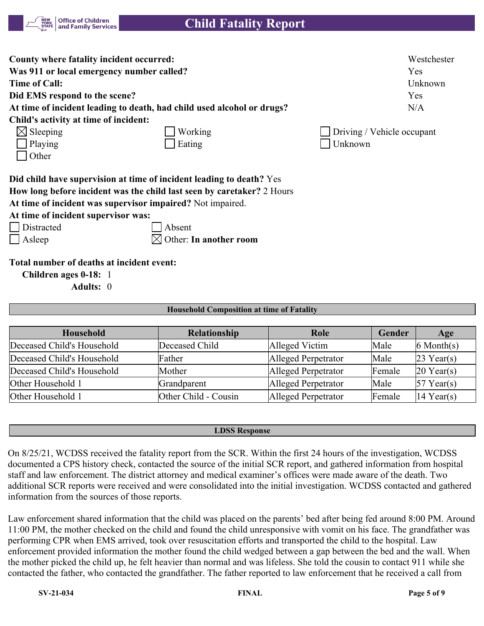

| County where fatality incident occurred:                                                                                             | Westchester                |
|--------------------------------------------------------------------------------------------------------------------------------------|----------------------------|
| Was 911 or local emergency number called?                                                                                            | Yes                        |
| <b>Time of Call:</b>                                                                                                                 | Unknown                    |
| Did EMS respond to the scene?                                                                                                        | Yes                        |
| At time of incident leading to death, had child used alcohol or drugs?                                                               | N/A                        |
| Child's activity at time of incident:                                                                                                |                            |
| $\boxtimes$ Sleeping<br>Working                                                                                                      | Driving / Vehicle occupant |
| Playing<br>Eating                                                                                                                    | Unknown                    |
| Other                                                                                                                                |                            |
| Did child have supervision at time of incident leading to death? Yes                                                                 |                            |
| How long before incident was the child last seen by caretaker? 2 Hours<br>At time of incident was supervisor impaired? Not impaired. |                            |

**At time of incident supervisor was:**

| Distracted | Absent

Asleep  $\boxtimes$  Other: **In another room** 

**Total number of deaths at incident event:**

**Children ages 0-18:** 1

**Adults:** 0

### **Household Composition at time of Fatality**

| <b>Household</b>           | <b>Relationship</b>  | Role                | Gender | Age             |
|----------------------------|----------------------|---------------------|--------|-----------------|
| Deceased Child's Household | Deceased Child       | Alleged Victim      | Male   | $6$ Month $(s)$ |
| Deceased Child's Household | Father               | Alleged Perpetrator | Male   | $23$ Year(s)    |
| Deceased Child's Household | Mother               | Alleged Perpetrator | Female | $20$ Year(s)    |
| Other Household 1          | Grandparent          | Alleged Perpetrator | Male   | $57$ Year(s)    |
| Other Household 1          | Other Child - Cousin | Alleged Perpetrator | Female | 14 Year(s)      |

#### **LDSS Response**

On 8/25/21, WCDSS received the fatality report from the SCR. Within the first 24 hours of the investigation, WCDSS documented a CPS history check, contacted the source of the initial SCR report, and gathered information from hospital staff and law enforcement. The district attorney and medical examiner's offices were made aware of the death. Two additional SCR reports were received and were consolidated into the initial investigation. WCDSS contacted and gathered information from the sources of those reports.

Law enforcement shared information that the child was placed on the parents' bed after being fed around 8:00 PM. Around 11:00 PM, the mother checked on the child and found the child unresponsive with vomit on his face. The grandfather was performing CPR when EMS arrived, took over resuscitation efforts and transported the child to the hospital. Law enforcement provided information the mother found the child wedged between a gap between the bed and the wall. When the mother picked the child up, he felt heavier than normal and was lifeless. She told the cousin to contact 911 while she contacted the father, who contacted the grandfather. The father reported to law enforcement that he received a call from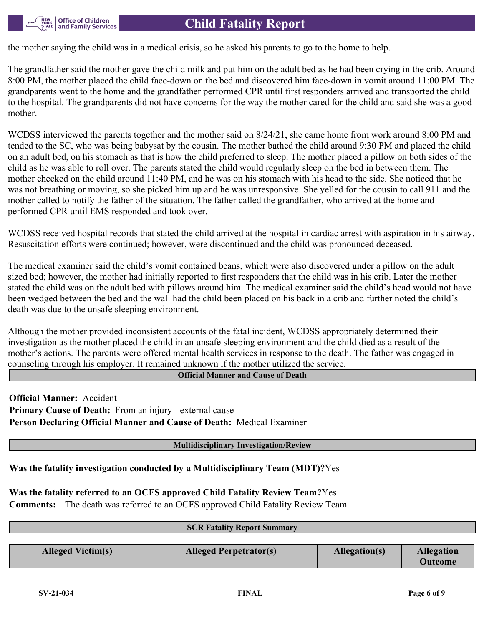the mother saying the child was in a medical crisis, so he asked his parents to go to the home to help.

The grandfather said the mother gave the child milk and put him on the adult bed as he had been crying in the crib. Around 8:00 PM, the mother placed the child face-down on the bed and discovered him face-down in vomit around 11:00 PM. The grandparents went to the home and the grandfather performed CPR until first responders arrived and transported the child to the hospital. The grandparents did not have concerns for the way the mother cared for the child and said she was a good mother.

WCDSS interviewed the parents together and the mother said on 8/24/21, she came home from work around 8:00 PM and tended to the SC, who was being babysat by the cousin. The mother bathed the child around 9:30 PM and placed the child on an adult bed, on his stomach as that is how the child preferred to sleep. The mother placed a pillow on both sides of the child as he was able to roll over. The parents stated the child would regularly sleep on the bed in between them. The mother checked on the child around 11:40 PM, and he was on his stomach with his head to the side. She noticed that he was not breathing or moving, so she picked him up and he was unresponsive. She yelled for the cousin to call 911 and the mother called to notify the father of the situation. The father called the grandfather, who arrived at the home and performed CPR until EMS responded and took over.

WCDSS received hospital records that stated the child arrived at the hospital in cardiac arrest with aspiration in his airway. Resuscitation efforts were continued; however, were discontinued and the child was pronounced deceased.

The medical examiner said the child's vomit contained beans, which were also discovered under a pillow on the adult sized bed; however, the mother had initially reported to first responders that the child was in his crib. Later the mother stated the child was on the adult bed with pillows around him. The medical examiner said the child's head would not have been wedged between the bed and the wall had the child been placed on his back in a crib and further noted the child's death was due to the unsafe sleeping environment.

Although the mother provided inconsistent accounts of the fatal incident, WCDSS appropriately determined their investigation as the mother placed the child in an unsafe sleeping environment and the child died as a result of the mother's actions. The parents were offered mental health services in response to the death. The father was engaged in counseling through his employer. It remained unknown if the mother utilized the service.

**Official Manner and Cause of Death**

**Official Manner:** Accident **Primary Cause of Death:** From an injury - external cause **Person Declaring Official Manner and Cause of Death:** Medical Examiner

### **Multidisciplinary Investigation/Review**

**Was the fatality investigation conducted by a Multidisciplinary Team (MDT)?**Yes

**Was the fatality referred to an OCFS approved Child Fatality Review Team?**Yes

**Comments:** The death was referred to an OCFS approved Child Fatality Review Team.

| <b>SCR Fatality Report Summary</b> |                               |               |                   |  |  |
|------------------------------------|-------------------------------|---------------|-------------------|--|--|
|                                    |                               |               |                   |  |  |
| <b>Alleged Victim(s)</b>           | <b>Alleged Perpetrator(s)</b> | Allegation(s) | <b>Allegation</b> |  |  |
|                                    |                               |               | <b>Outcome</b>    |  |  |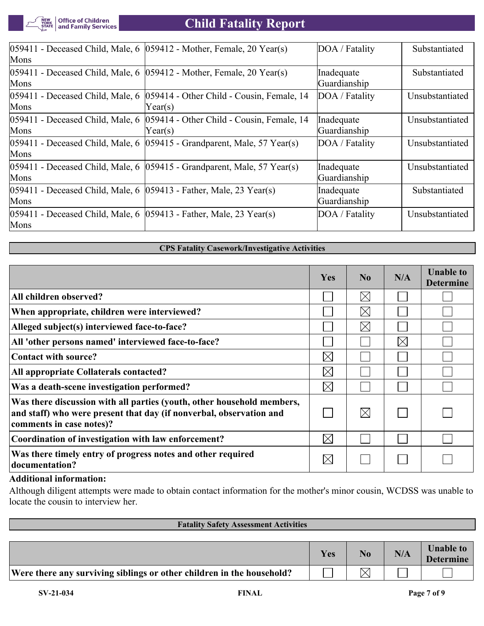

| $[059411$ - Deceased Child, Male, 6 $[059412$ - Mother, Female, 20 Year(s)     | DOA / Fatality | Substantiated   |
|--------------------------------------------------------------------------------|----------------|-----------------|
|                                                                                |                |                 |
| $[059411$ - Deceased Child, Male, 6 $[059412$ - Mother, Female, 20 Year(s)     | Inadequate     | Substantiated   |
|                                                                                |                |                 |
| $059411$ - Deceased Child, Male, 6 $059414$ - Other Child - Cousin, Female, 14 | DOA / Fatality | Unsubstantiated |
| Year(s)                                                                        |                |                 |
| 059414 - Other Child - Cousin, Female, 14                                      | Inadequate     | Unsubstantiated |
| Year(s)                                                                        | Guardianship   |                 |
| $ 059411$ - Deceased Child, Male, 6 $ 059415$ - Grandparent, Male, 57 Year(s)  | DOA / Fatality | Unsubstantiated |
|                                                                                |                |                 |
| $ 059411$ - Deceased Child, Male, 6 $ 059415$ - Grandparent, Male, 57 Year(s)  | Inadequate     | Unsubstantiated |
|                                                                                | Guardianship   |                 |
| $ 059411$ - Deceased Child, Male, 6 $ 059413$ - Father, Male, 23 Year(s)       | Inadequate     | Substantiated   |
|                                                                                | Guardianship   |                 |
| $ 059411$ - Deceased Child, Male, 6 $ 059413$ - Father, Male, 23 Year(s)       | DOA / Fatality | Unsubstantiated |
|                                                                                |                |                 |
|                                                                                |                | Guardianship    |

### **CPS Fatality Casework/Investigative Activities**

|                                                                                                                                                                           | Yes         | $\bf No$    | N/A         | <b>Unable to</b><br><b>Determine</b> |
|---------------------------------------------------------------------------------------------------------------------------------------------------------------------------|-------------|-------------|-------------|--------------------------------------|
| All children observed?                                                                                                                                                    |             | $\boxtimes$ |             |                                      |
| When appropriate, children were interviewed?                                                                                                                              |             | $\boxtimes$ |             |                                      |
| Alleged subject(s) interviewed face-to-face?                                                                                                                              |             | $\boxtimes$ |             |                                      |
| All 'other persons named' interviewed face-to-face?                                                                                                                       |             |             | $\boxtimes$ |                                      |
| <b>Contact with source?</b>                                                                                                                                               | $\boxtimes$ |             |             |                                      |
| All appropriate Collaterals contacted?                                                                                                                                    | $\boxtimes$ |             |             |                                      |
| Was a death-scene investigation performed?                                                                                                                                | $\boxtimes$ |             |             |                                      |
| Was there discussion with all parties (youth, other household members,<br>and staff) who were present that day (if nonverbal, observation and<br>comments in case notes)? |             | $\boxtimes$ |             |                                      |
| Coordination of investigation with law enforcement?                                                                                                                       | $\boxtimes$ |             |             |                                      |
| Was there timely entry of progress notes and other required<br>documentation?                                                                                             | $\boxtimes$ |             |             |                                      |

## **Additional information:**

Although diligent attempts were made to obtain contact information for the mother's minor cousin, WCDSS was unable to locate the cousin to interview her.

| <b>Fatality Safety Assessment Activities</b>                          |     |    |     |                                      |
|-----------------------------------------------------------------------|-----|----|-----|--------------------------------------|
|                                                                       |     |    |     |                                      |
|                                                                       | Yes | No | N/A | <b>Unable to</b><br><b>Determine</b> |
| Were there any surviving siblings or other children in the household? |     |    |     |                                      |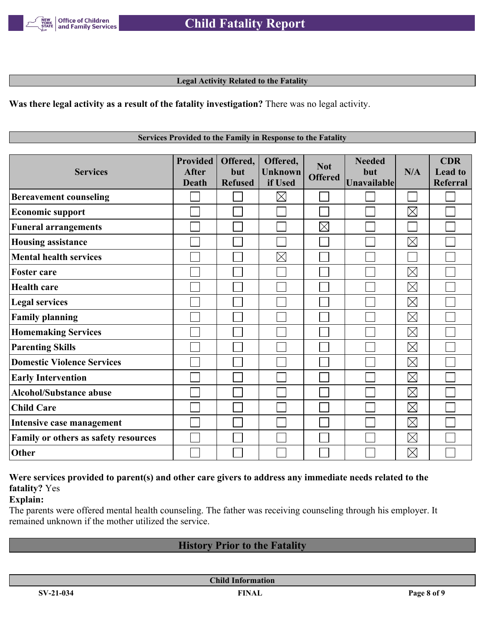

### **Legal Activity Related to the Fatality**

**Was there legal activity as a result of the fatality investigation?** There was no legal activity.

#### **Services Provided to the Family in Response to the Fatality**

| <b>Services</b>                      | <b>Provided</b><br><b>After</b><br><b>Death</b> | Offered,<br>but<br><b>Refused</b> | Offered,<br><b>Unknown</b><br>if Used | <b>Not</b><br><b>Offered</b> | <b>Needed</b><br>but<br><b>Unavailable</b> | N/A         | <b>CDR</b><br><b>Lead to</b><br>Referral |
|--------------------------------------|-------------------------------------------------|-----------------------------------|---------------------------------------|------------------------------|--------------------------------------------|-------------|------------------------------------------|
| <b>Bereavement counseling</b>        |                                                 |                                   | $\boxtimes$                           |                              |                                            |             |                                          |
| <b>Economic support</b>              |                                                 |                                   |                                       |                              |                                            | $\boxtimes$ |                                          |
| <b>Funeral arrangements</b>          |                                                 |                                   |                                       | $\boxtimes$                  |                                            |             |                                          |
| <b>Housing assistance</b>            |                                                 |                                   |                                       |                              |                                            | $\boxtimes$ |                                          |
| <b>Mental health services</b>        |                                                 |                                   | $\times$                              |                              |                                            |             |                                          |
| <b>Foster care</b>                   |                                                 |                                   |                                       |                              |                                            | $\boxtimes$ |                                          |
| <b>Health care</b>                   |                                                 |                                   |                                       |                              |                                            | $\boxtimes$ |                                          |
| <b>Legal services</b>                |                                                 |                                   |                                       |                              |                                            | $\boxtimes$ |                                          |
| <b>Family planning</b>               |                                                 |                                   |                                       |                              |                                            | $\boxtimes$ |                                          |
| <b>Homemaking Services</b>           |                                                 |                                   |                                       |                              |                                            | $\boxtimes$ |                                          |
| <b>Parenting Skills</b>              |                                                 |                                   |                                       |                              |                                            | $\boxtimes$ |                                          |
| <b>Domestic Violence Services</b>    |                                                 |                                   |                                       |                              |                                            | $\boxtimes$ |                                          |
| <b>Early Intervention</b>            |                                                 |                                   |                                       |                              |                                            | $\boxtimes$ |                                          |
| <b>Alcohol/Substance abuse</b>       |                                                 |                                   |                                       |                              |                                            | $\boxtimes$ |                                          |
| <b>Child Care</b>                    |                                                 |                                   |                                       |                              |                                            | $\boxtimes$ |                                          |
| Intensive case management            |                                                 |                                   |                                       |                              |                                            | $\boxtimes$ |                                          |
| Family or others as safety resources |                                                 |                                   |                                       |                              |                                            | $\boxtimes$ |                                          |
| Other                                |                                                 |                                   |                                       |                              |                                            | $\boxtimes$ |                                          |

## **Were services provided to parent(s) and other care givers to address any immediate needs related to the fatality?** Yes

**Explain:**

The parents were offered mental health counseling. The father was receiving counseling through his employer. It remained unknown if the mother utilized the service.

## **History Prior to the Fatality**